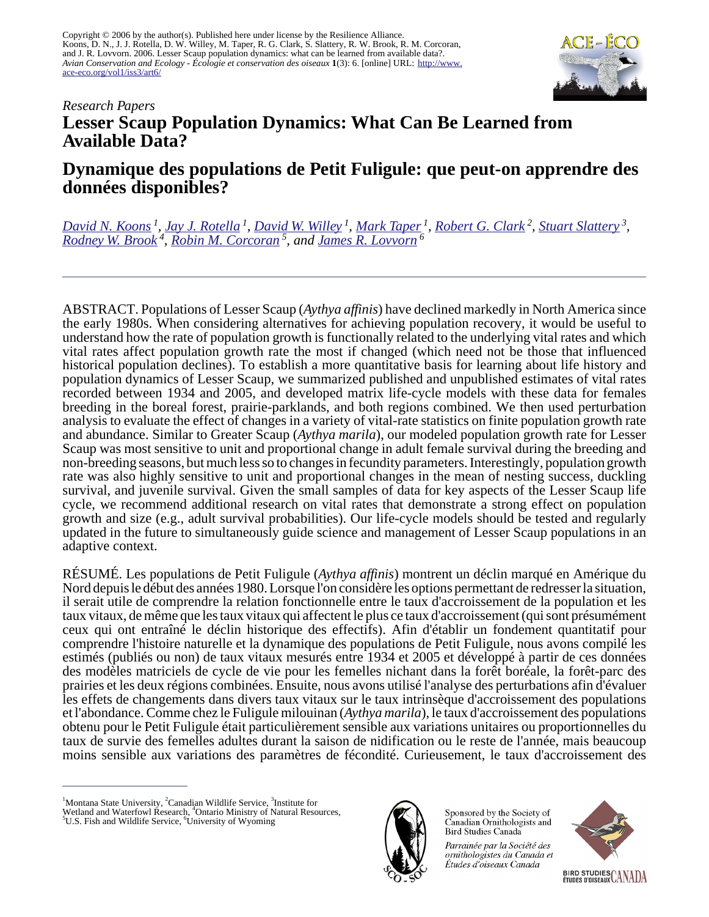Copyright © 2006 by the author(s). Published here under license by the Resilience Alliance. Koons, D. N., J. J. Rotella, D. W. Willey, M. Taper, R. G. Clark, S. Slattery, R. W. Brook, R. M. Corcoran, and J. R. Lovvorn. 2006. Lesser Scaup population dynamics: what can be learned from available data?. *Avian Conservation and Ecology - Écologie et conservation des oiseaux* **1**(3): 6. [online] URL: [http://www.](http://www.ace-eco.org/vol1/iss3/art6/) [ace-eco.org/vol1/iss3/art6/](http://www.ace-eco.org/vol1/iss3/art6/)



# *Research Papers* **Lesser Scaup Population Dynamics: What Can Be Learned from Available Data?**

# **Dynamique des populations de Petit Fuligule: que peut-on apprendre des données disponibles?**

[David N. Koons](mailto:koons@demogr.mpg.de)<sup>1</sup>, [Jay J. Rotella](mailto:rotella@montana.edu)<sup>1</sup>, [David W. Willey](mailto:willey@montana.edu)<sup>1</sup>, [Mark Taper](mailto:taper@montana.edu)<sup>1</sup>, [Robert G. Clark](mailto:bob.clark@ec.gc.ca)<sup>2</sup>, [Stuart Slattery](mailto:s_slattery@ducks.ca)<sup>3</sup>, *[Rodney W. Brook](mailto:rod.brook@mnr.gov.on.ca)<sup>4</sup> , [Robin M. Corcoran](mailto:robin_corcoran@fws.gov)<sup>5</sup>, and [James R. Lovvorn](mailto:lovvorn@uwyo.edu)<sup>6</sup>*

ABSTRACT. Populations of Lesser Scaup (*Aythya affinis*) have declined markedly in North America since the early 1980s. When considering alternatives for achieving population recovery, it would be useful to understand how the rate of population growth is functionally related to the underlying vital rates and which vital rates affect population growth rate the most if changed (which need not be those that influenced historical population declines). To establish a more quantitative basis for learning about life history and population dynamics of Lesser Scaup, we summarized published and unpublished estimates of vital rates recorded between 1934 and 2005, and developed matrix life-cycle models with these data for females breeding in the boreal forest, prairie-parklands, and both regions combined. We then used perturbation analysis to evaluate the effect of changes in a variety of vital-rate statistics on finite population growth rate and abundance. Similar to Greater Scaup (*Aythya marila*), our modeled population growth rate for Lesser Scaup was most sensitive to unit and proportional change in adult female survival during the breeding and non-breeding seasons, but much less so to changes in fecundity parameters. Interestingly, population growth rate was also highly sensitive to unit and proportional changes in the mean of nesting success, duckling survival, and juvenile survival. Given the small samples of data for key aspects of the Lesser Scaup life cycle, we recommend additional research on vital rates that demonstrate a strong effect on population growth and size (e.g., adult survival probabilities). Our life-cycle models should be tested and regularly updated in the future to simultaneously guide science and management of Lesser Scaup populations in an adaptive context.

RÉSUMÉ. Les populations de Petit Fuligule (*Aythya affinis*) montrent un déclin marqué en Amérique du Nord depuis le début des années 1980. Lorsque l'on considère les options permettant de redresser la situation, il serait utile de comprendre la relation fonctionnelle entre le taux d'accroissement de la population et les taux vitaux, de même que les taux vitaux qui affectent le plus ce taux d'accroissement (qui sont présumément ceux qui ont entraîné le déclin historique des effectifs). Afin d'établir un fondement quantitatif pour comprendre l'histoire naturelle et la dynamique des populations de Petit Fuligule, nous avons compilé les estimés (publiés ou non) de taux vitaux mesurés entre 1934 et 2005 et développé à partir de ces données des modèles matriciels de cycle de vie pour les femelles nichant dans la forêt boréale, la forêt-parc des prairies et les deux régions combinées. Ensuite, nous avons utilisé l'analyse des perturbations afin d'évaluer les effets de changements dans divers taux vitaux sur le taux intrinsèque d'accroissement des populations et l'abondance. Comme chez le Fuligule milouinan (*Aythya marila*), le taux d'accroissement des populations obtenu pour le Petit Fuligule était particulièrement sensible aux variations unitaires ou proportionnelles du taux de survie des femelles adultes durant la saison de nidification ou le reste de l'année, mais beaucoup moins sensible aux variations des paramètres de fécondité. Curieusement, le taux d'accroissement des

<sup>&</sup>lt;sup>1</sup>Montana State University, <sup>2</sup>Canadian Wildlife Service, <sup>3</sup>Institute for Wetland and Waterfowl Research, <sup>4</sup>Ontario Ministry of Natural Resources, <sup>5</sup>U.S. Fish and Wildlife Service, <sup>6</sup>University of Wyoming



Sponsored by the Society of Canadian Ornithologists and Bird Studies Canada

Parrainée par la Société des ornithologistes du Canada et Études d'oiseaux Canada

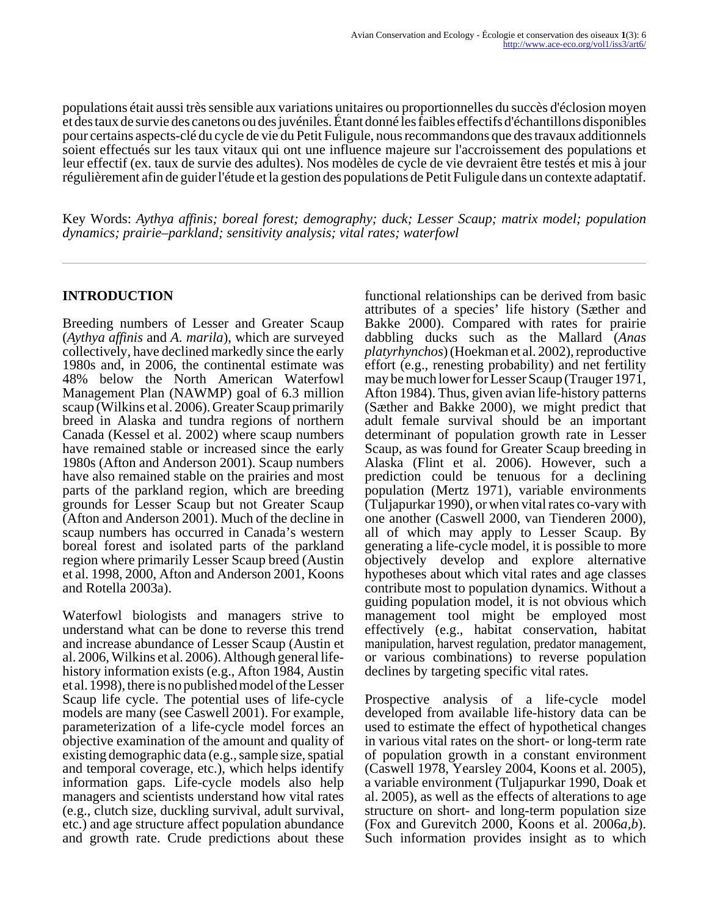populations était aussi très sensible aux variations unitaires ou proportionnelles du succès d'éclosion moyen et des taux de survie des canetons ou des juvéniles. Étant donné les faibles effectifs d'échantillons disponibles pour certains aspects-clé du cycle de vie du Petit Fuligule, nous recommandons que des travaux additionnels soient effectués sur les taux vitaux qui ont une influence majeure sur l'accroissement des populations et leur effectif (ex. taux de survie des adultes). Nos modèles de cycle de vie devraient être testés et mis à jour régulièrement afin de guider l'étude et la gestion des populations de Petit Fuligule dans un contexte adaptatif.

Key Words: *Aythya affinis; boreal forest; demography; duck; Lesser Scaup; matrix model; population dynamics; prairie–parkland; sensitivity analysis; vital rates; waterfowl*

## **INTRODUCTION**

Breeding numbers of Lesser and Greater Scaup (*Aythya affinis* and *A. marila*), which are surveyed collectively, have declined markedly since the early 1980s and, in 2006, the continental estimate was 48% below the North American Waterfowl Management Plan (NAWMP) goal of 6.3 million scaup (Wilkins et al. 2006). Greater Scaup primarily breed in Alaska and tundra regions of northern Canada (Kessel et al. 2002) where scaup numbers have remained stable or increased since the early 1980s (Afton and Anderson 2001). Scaup numbers have also remained stable on the prairies and most parts of the parkland region, which are breeding grounds for Lesser Scaup but not Greater Scaup (Afton and Anderson 2001). Much of the decline in scaup numbers has occurred in Canada's western boreal forest and isolated parts of the parkland region where primarily Lesser Scaup breed (Austin et al. 1998, 2000, Afton and Anderson 2001, Koons and Rotella 2003a).

Waterfowl biologists and managers strive to understand what can be done to reverse this trend and increase abundance of Lesser Scaup (Austin et al. 2006, Wilkins et al. 2006). Although general lifehistory information exists (e.g., Afton 1984, Austin et al. 1998), there is no published model of the Lesser Scaup life cycle. The potential uses of life-cycle models are many (see Caswell 2001). For example, parameterization of a life-cycle model forces an objective examination of the amount and quality of existing demographic data (e.g., sample size, spatial and temporal coverage, etc.), which helps identify information gaps. Life-cycle models also help managers and scientists understand how vital rates (e.g., clutch size, duckling survival, adult survival, etc.) and age structure affect population abundance and growth rate. Crude predictions about these

functional relationships can be derived from basic attributes of a species' life history (Sæther and Bakke 2000). Compared with rates for prairie dabbling ducks such as the Mallard (*Anas platyrhynchos*) (Hoekman et al. 2002), reproductive effort (e.g., renesting probability) and net fertility may be much lower for Lesser Scaup (Trauger 1971, Afton 1984). Thus, given avian life-history patterns (Sæther and Bakke 2000), we might predict that adult female survival should be an important determinant of population growth rate in Lesser Scaup, as was found for Greater Scaup breeding in Alaska (Flint et al. 2006). However, such a prediction could be tenuous for a declining population (Mertz 1971), variable environments (Tuljapurkar 1990), or when vital rates co-vary with one another (Caswell 2000, van Tienderen 2000), all of which may apply to Lesser Scaup. By generating a life-cycle model, it is possible to more objectively develop and explore alternative hypotheses about which vital rates and age classes contribute most to population dynamics. Without a guiding population model, it is not obvious which management tool might be employed most effectively (e.g., habitat conservation, habitat manipulation, harvest regulation, predator management, or various combinations) to reverse population declines by targeting specific vital rates.

Prospective analysis of a life-cycle model developed from available life-history data can be used to estimate the effect of hypothetical changes in various vital rates on the short- or long-term rate of population growth in a constant environment (Caswell 1978, Yearsley 2004, Koons et al. 2005), a variable environment (Tuljapurkar 1990, Doak et al. 2005), as well as the effects of alterations to age structure on short- and long-term population size (Fox and Gurevitch 2000, Koons et al. 2006*a,b*). Such information provides insight as to which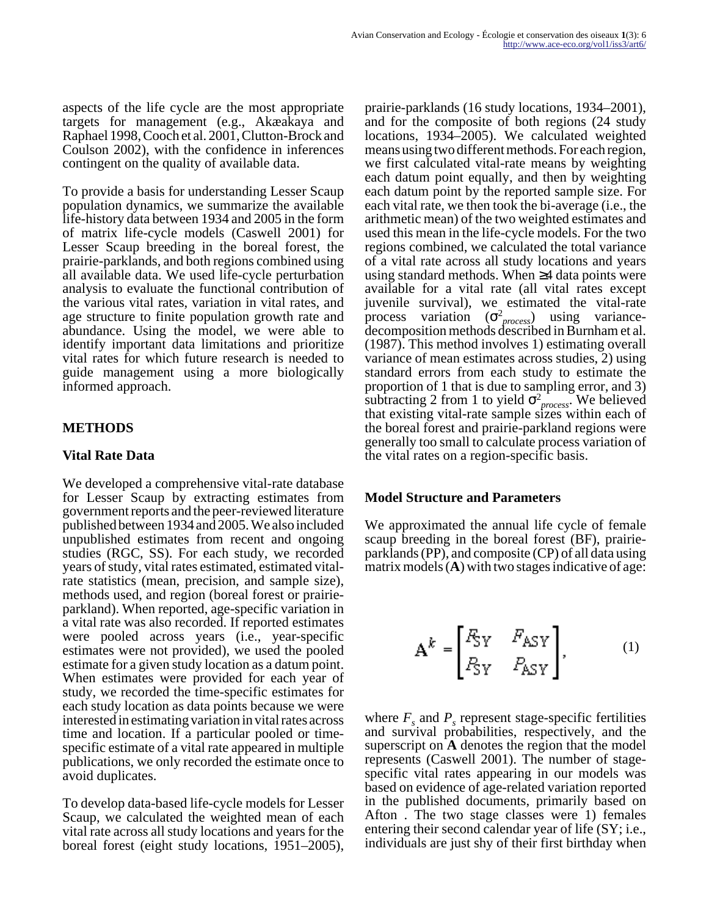aspects of the life cycle are the most appropriate targets for management (e.g., Akæakaya and Raphael 1998, Cooch et al. 2001, Clutton-Brock and Coulson 2002), with the confidence in inferences contingent on the quality of available data.

To provide a basis for understanding Lesser Scaup population dynamics, we summarize the available life-history data between 1934 and 2005 in the form of matrix life-cycle models (Caswell 2001) for Lesser Scaup breeding in the boreal forest, the prairie-parklands, and both regions combined using all available data. We used life-cycle perturbation analysis to evaluate the functional contribution of the various vital rates, variation in vital rates, and age structure to finite population growth rate and abundance. Using the model, we were able to identify important data limitations and prioritize vital rates for which future research is needed to guide management using a more biologically informed approach.

## **METHODS**

### **Vital Rate Data**

We developed a comprehensive vital-rate database for Lesser Scaup by extracting estimates from government reports and the peer-reviewed literature published between 1934 and 2005. We also included unpublished estimates from recent and ongoing studies (RGC, SS). For each study, we recorded years of study, vital rates estimated, estimated vitalrate statistics (mean, precision, and sample size), methods used, and region (boreal forest or prairieparkland). When reported, age-specific variation in a vital rate was also recorded. If reported estimates were pooled across years (i.e., year-specific estimates were not provided), we used the pooled estimate for a given study location as a datum point. When estimates were provided for each year of study, we recorded the time-specific estimates for each study location as data points because we were interested in estimating variation in vital rates across time and location. If a particular pooled or timespecific estimate of a vital rate appeared in multiple publications, we only recorded the estimate once to avoid duplicates.

To develop data-based life-cycle models for Lesser Scaup, we calculated the weighted mean of each vital rate across all study locations and years for the boreal forest (eight study locations, 1951–2005), prairie-parklands (16 study locations, 1934–2001), and for the composite of both regions (24 study locations, 1934–2005). We calculated weighted means using two different methods. For each region, we first calculated vital-rate means by weighting each datum point equally, and then by weighting each datum point by the reported sample size. For each vital rate, we then took the bi-average (i.e., the arithmetic mean) of the two weighted estimates and used this mean in the life-cycle models. For the two regions combined, we calculated the total variance of a vital rate across all study locations and years using standard methods. When ≥4 data points were available for a vital rate (all vital rates except juvenile survival), we estimated the vital-rate process variation  $(\sigma^2_{process})$  using variancedecomposition methods described in Burnham et al. (1987). This method involves 1) estimating overall variance of mean estimates across studies, 2) using standard errors from each study to estimate the proportion of 1 that is due to sampling error, and 3) subtracting 2 from 1 to yield  $\sigma^2_{process}$ . We believed that existing vital-rate sample sizes within each of the boreal forest and prairie-parkland regions were generally too small to calculate process variation of the vital rates on a region-specific basis.

### **Model Structure and Parameters**

We approximated the annual life cycle of female scaup breeding in the boreal forest (BF), prairieparklands (PP), and composite (CP) of all data using matrix models (**A**) with two stages indicative of age:

$$
\mathbf{A}^k = \begin{bmatrix} R_{\rm Y} & F_{\rm ASY} \\ R_{\rm SY} & P_{\rm ASY} \end{bmatrix},\tag{1}
$$

where  $F_s$  and  $P_s$  represent stage-specific fertilities and survival probabilities, respectively, and the superscript on **A** denotes the region that the model represents (Caswell 2001). The number of stagespecific vital rates appearing in our models was based on evidence of age-related variation reported in the published documents, primarily based on Afton . The two stage classes were 1) females entering their second calendar year of life (SY; i.e., individuals are just shy of their first birthday when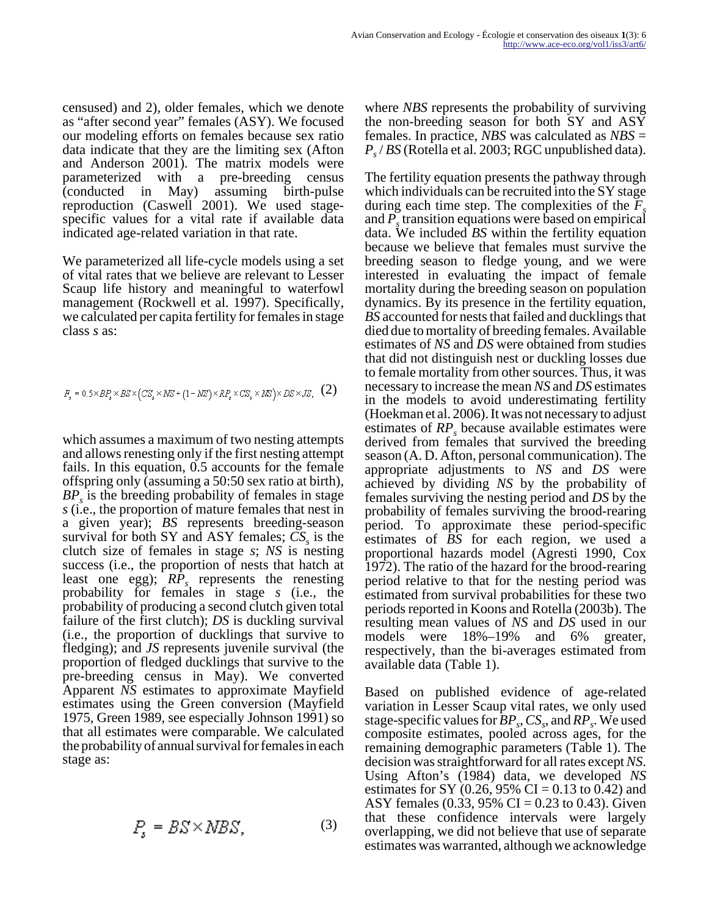censused) and 2), older females, which we denote as "after second year" females (ASY). We focused our modeling efforts on females because sex ratio data indicate that they are the limiting sex (Afton and Anderson 2001). The matrix models were parameterized with a pre-breeding census (conducted in May) assuming birth-pulse reproduction (Caswell 2001). We used stagespecific values for a vital rate if available data indicated age-related variation in that rate.

We parameterized all life-cycle models using a set of vital rates that we believe are relevant to Lesser Scaup life history and meaningful to waterfowl management (Rockwell et al. 1997). Specifically, we calculated per capita fertility for females in stage class *s* as:

$$
F_s = 0.5 \times BP_s \times BS \times \big( CS_s \times NS + \big( 1 - NS \big) \times RP_s \times CS_s \times MS \big) \times DS \times JS, \quad (2)
$$

which assumes a maximum of two nesting attempts and allows renesting only if the first nesting attempt fails. In this equation, 0.5 accounts for the female offspring only (assuming a 50:50 sex ratio at birth), *BP<sup>s</sup>* is the breeding probability of females in stage *s* (i.e., the proportion of mature females that nest in a given year); *BS* represents breeding-season survival for both SY and ASY females; *CS<sup>s</sup>* is the clutch size of females in stage *s*; *NS* is nesting success (i.e., the proportion of nests that hatch at least one egg); *RP*<sub>*s*</sub> represents the renesting probability for females in stage *s* (i.e., the probability of producing a second clutch given total failure of the first clutch); *DS* is duckling survival (i.e., the proportion of ducklings that survive to fledging); and *JS* represents juvenile survival (the proportion of fledged ducklings that survive to the pre-breeding census in May). We converted Apparent *NS* estimates to approximate Mayfield estimates using the Green conversion (Mayfield 1975, Green 1989, see especially Johnson 1991) so that all estimates were comparable. We calculated the probability of annual survival for females in each stage as:

$$
P_s = BS \times NBS,\tag{3}
$$

where *NBS* represents the probability of surviving the non-breeding season for both SY and ASY females. In practice, *NBS* was calculated as *NBS* = *Ps* / *BS* (Rotella et al. 2003; RGC unpublished data).

The fertility equation presents the pathway through which individuals can be recruited into the SY stage during each time step. The complexities of the *F<sup>s</sup>* and *P<sup>s</sup>* transition equations were based on empirical data. We included *BS* within the fertility equation because we believe that females must survive the breeding season to fledge young, and we were interested in evaluating the impact of female mortality during the breeding season on population dynamics. By its presence in the fertility equation, *BS* accounted for nests that failed and ducklings that died due to mortality of breeding females. Available estimates of *NS* and *DS* were obtained from studies that did not distinguish nest or duckling losses due to female mortality from other sources. Thus, it was necessary to increase the mean *NS* and *DS* estimates in the models to avoid underestimating fertility (Hoekman et al. 2006). It was not necessary to adjust estimates of *RP<sup>s</sup>* because available estimates were derived from females that survived the breeding season (A. D. Afton, personal communication). The appropriate adjustments to *NS* and *DS* were achieved by dividing *NS* by the probability of females surviving the nesting period and *DS* by the probability of females surviving the brood-rearing period. To approximate these period-specific estimates of *BS* for each region, we used a proportional hazards model (Agresti 1990, Cox 1972). The ratio of the hazard for the brood-rearing period relative to that for the nesting period was estimated from survival probabilities for these two periods reported in Koons and Rotella (2003b). The resulting mean values of *NS* and *DS* used in our models were 18%–19% and 6% greater, respectively, than the bi-averages estimated from available data (Table 1).

Based on published evidence of age-related variation in Lesser Scaup vital rates, we only used stage-specific values for *BP<sup>s</sup>* , *CS<sup>s</sup>* , and *RP<sup>s</sup>* . We used composite estimates, pooled across ages, for the remaining demographic parameters (Table 1). The decision was straightforward for all rates except *NS*. Using Afton's (1984) data, we developed *NS* estimates for SY (0.26, 95% CI = 0.13 to 0.42) and ASY females  $(0.33, 95\% \text{ CI} = 0.23 \text{ to } 0.43)$ . Given that these confidence intervals were largely overlapping, we did not believe that use of separate estimates was warranted, although we acknowledge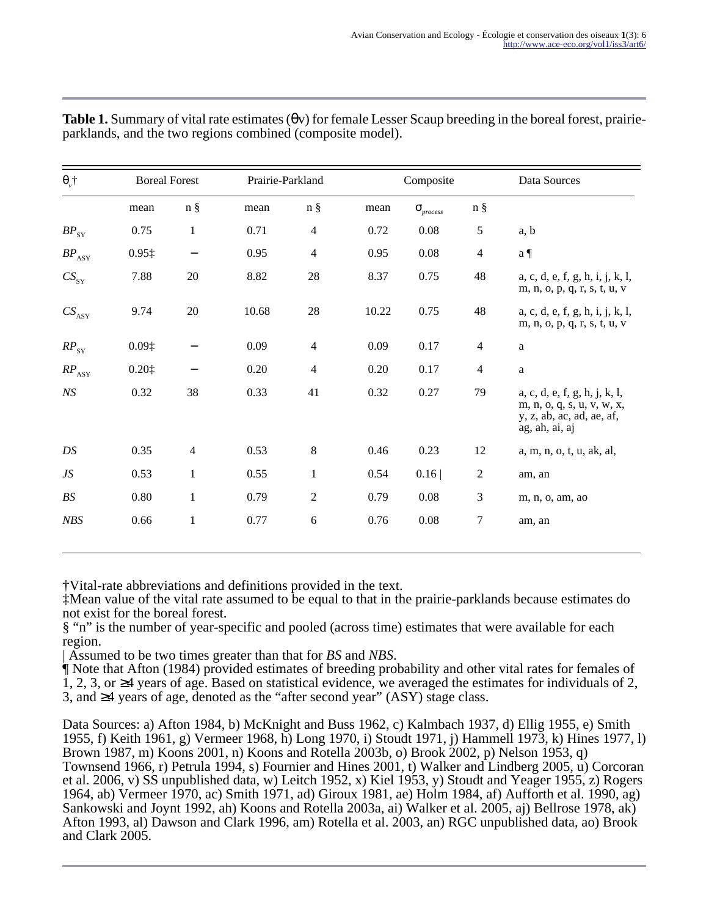| $\theta_{\nu}$ †             | <b>Boreal Forest</b> |                   | Prairie-Parkland |                |       | Composite          | Data Sources   |                                                                                                            |  |
|------------------------------|----------------------|-------------------|------------------|----------------|-------|--------------------|----------------|------------------------------------------------------------------------------------------------------------|--|
|                              | mean                 | $n \S$            | mean             | n §            | mean  | $\sigma_{process}$ | $n \S$         |                                                                                                            |  |
| $BP_{SY}$                    | 0.75                 | $\mathbf{1}$      | 0.71             | $\overline{4}$ | 0.72  | 0.08               | 5              | a, b                                                                                                       |  |
| $BP_{\rm ASY}$               | 0.951                | $\qquad \qquad -$ | 0.95             | $\overline{4}$ | 0.95  | 0.08               | $\overline{4}$ | $a \bigtriangledown$                                                                                       |  |
| $CS_{\rm SY}$                | 7.88                 | 20                | 8.82             | 28             | 8.37  | 0.75               | 48             | a, c, d, e, f, g, h, i, j, k, l,<br>m, n, o, p, q, r, s, t, u, v                                           |  |
| $CS_{\rm ASY}$               | 9.74                 | 20                | 10.68            | 28             | 10.22 | 0.75               | 48             | a, c, d, e, f, g, h, i, j, k, l,<br>m, n, o, p, q, r, s, t, u, v                                           |  |
| $RP_{\rm SY}$                | 0.091                |                   | 0.09             | $\overline{4}$ | 0.09  | 0.17               | $\overline{4}$ | a                                                                                                          |  |
| $\mathit{RP}_{\mathrm{ASY}}$ | 0.201                | -                 | 0.20             | $\overline{4}$ | 0.20  | 0.17               | $\overline{4}$ | a                                                                                                          |  |
| NS                           | 0.32                 | 38                | 0.33             | 41             | 0.32  | 0.27               | 79             | a, c, d, e, f, g, h, j, k, l,<br>m, n, o, q, s, u, v, w, x,<br>y, z, ab, ac, ad, ae, af,<br>ag, ah, ai, aj |  |
| DS                           | 0.35                 | $\overline{4}$    | 0.53             | 8              | 0.46  | 0.23               | 12             | a, m, n, o, t, u, ak, al,                                                                                  |  |
| JS                           | 0.53                 | $\mathbf{1}$      | 0.55             | $\mathbf{1}$   | 0.54  | 0.16               | $\mathfrak{2}$ | am, an                                                                                                     |  |
| BS                           | $0.80\,$             | $\mathbf{1}$      | 0.79             | $\overline{2}$ | 0.79  | 0.08               | 3              | m, n, o, am, ao                                                                                            |  |
| <b>NBS</b>                   | 0.66                 | $\mathbf{1}$      | 0.77             | 6              | 0.76  | 0.08               | 7              | am, an                                                                                                     |  |

**Table 1.** Summary of vital rate estimates (θv) for female Lesser Scaup breeding in the boreal forest, prairieparklands, and the two regions combined (composite model).

†Vital-rate abbreviations and definitions provided in the text.

‡Mean value of the vital rate assumed to be equal to that in the prairie-parklands because estimates do not exist for the boreal forest.

§ "n" is the number of year-specific and pooled (across time) estimates that were available for each region.

| Assumed to be two times greater than that for *BS* and *NBS*.

¶ Note that Afton (1984) provided estimates of breeding probability and other vital rates for females of 1, 2, 3, or ≥4 years of age. Based on statistical evidence, we averaged the estimates for individuals of 2, 3, and ≥4 years of age, denoted as the "after second year" (ASY) stage class.

Data Sources: a) Afton 1984, b) McKnight and Buss 1962, c) Kalmbach 1937, d) Ellig 1955, e) Smith 1955, f) Keith 1961, g) Vermeer 1968, h) Long 1970, i) Stoudt 1971, j) Hammell 1973, k) Hines 1977, l) Brown 1987, m) Koons 2001, n) Koons and Rotella 2003b, o) Brook 2002, p) Nelson 1953, q) Townsend 1966, r) Petrula 1994, s) Fournier and Hines 2001, t) Walker and Lindberg 2005, u) Corcoran et al. 2006, v) SS unpublished data, w) Leitch 1952, x) Kiel 1953, y) Stoudt and Yeager 1955, z) Rogers 1964, ab) Vermeer 1970, ac) Smith 1971, ad) Giroux 1981, ae) Holm 1984, af) Aufforth et al. 1990, ag) Sankowski and Joynt 1992, ah) Koons and Rotella 2003a, ai) Walker et al. 2005, aj) Bellrose 1978, ak) Afton 1993, al) Dawson and Clark 1996, am) Rotella et al. 2003, an) RGC unpublished data, ao) Brook and Clark 2005.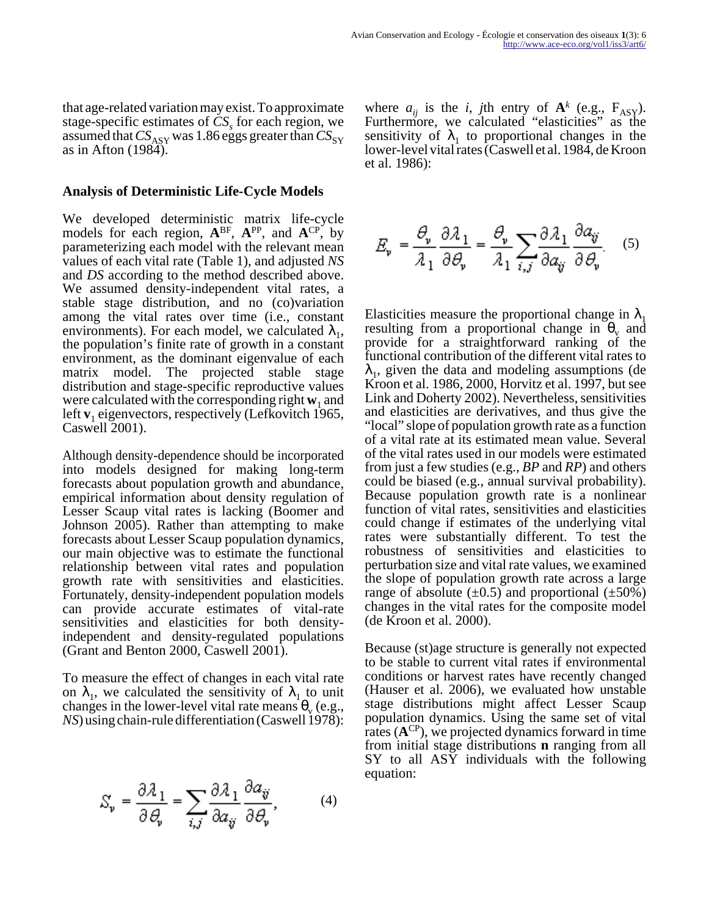that age-related variation may exist. To approximate stage-specific estimates of *CS<sup>s</sup>* for each region, we assumed that  $CS_{ASY}$  was 1.86 eggs greater than  $CS_{SY}$ as in Afton (1984).

### **Analysis of Deterministic Life-Cycle Models**

We developed deterministic matrix life-cycle models for each region, **A**BF , **A**PP, and **A**CP, by parameterizing each model with the relevant mean values of each vital rate (Table 1), and adjusted *NS* and *DS* according to the method described above. We assumed density-independent vital rates, a stable stage distribution, and no (co)variation among the vital rates over time (i.e., constant environments). For each model, we calculated  $\lambda_1$ , the population's finite rate of growth in a constant environment, as the dominant eigenvalue of each matrix model. The projected stable stage distribution and stage-specific reproductive values were calculated with the corresponding right  $w_1$  and left  $\mathbf{v}_1$  eigenvectors, respectively (Lefkovitch 1965, Caswell 2001).

Although density-dependence should be incorporated into models designed for making long-term forecasts about population growth and abundance, empirical information about density regulation of Lesser Scaup vital rates is lacking (Boomer and Johnson 2005). Rather than attempting to make forecasts about Lesser Scaup population dynamics, our main objective was to estimate the functional relationship between vital rates and population growth rate with sensitivities and elasticities. Fortunately, density-independent population models can provide accurate estimates of vital-rate sensitivities and elasticities for both densityindependent and density-regulated populations (Grant and Benton 2000, Caswell 2001).

To measure the effect of changes in each vital rate on  $\lambda_1$ , we calculated the sensitivity of  $\lambda_1$  to unit changes in the lower-level vital rate means  $\theta_{v}$  (e.g., *NS*) using chain-rule differentiation (Caswell 1978):

$$
S_{\nu} = \frac{\partial \lambda_1}{\partial \theta_{\nu}} = \sum_{i,j} \frac{\partial \lambda_1}{\partial a_{ij}} \frac{\partial a_{ij}}{\partial \theta_{\nu}},
$$
 (4)

where  $a_{ij}$  is the *i*, *j*th entry of  $\mathbf{A}^k$  (e.g.,  $F_{\text{ASY}}$ ). Furthermore, we calculated "elasticities" as the sensitivity of  $\lambda_1$  to proportional changes in the lower-level vital rates (Caswell et al. 1984, de Kroon et al. 1986):

$$
E_{\nu} = \frac{\theta_{\nu}}{\lambda_1} \frac{\partial \lambda_1}{\partial \theta_{\nu}} = \frac{\theta_{\nu}}{\lambda_1} \sum_{i,j} \frac{\partial \lambda_1}{\partial a_{ij}} \frac{\partial a_{ij}}{\partial \theta_{\nu}}.
$$
 (5)

Elasticities measure the proportional change in  $\lambda_1$ resulting from a proportional change in  $\theta_{v}$  and provide for a straightforward ranking of the functional contribution of the different vital rates to  $\lambda_1$ , given the data and modeling assumptions (de Kroon et al. 1986, 2000, Horvitz et al. 1997, but see Link and Doherty 2002). Nevertheless, sensitivities and elasticities are derivatives, and thus give the "local" slope of population growth rate as a function of a vital rate at its estimated mean value. Several of the vital rates used in our models were estimated from just a few studies (e.g., *BP* and *RP*) and others could be biased (e.g., annual survival probability). Because population growth rate is a nonlinear function of vital rates, sensitivities and elasticities could change if estimates of the underlying vital rates were substantially different. To test the robustness of sensitivities and elasticities to perturbation size and vital rate values, we examined the slope of population growth rate across a large range of absolute  $(\pm 0.5)$  and proportional  $(\pm 50\%)$ changes in the vital rates for the composite model (de Kroon et al. 2000).

Because (st)age structure is generally not expected to be stable to current vital rates if environmental conditions or harvest rates have recently changed (Hauser et al. 2006), we evaluated how unstable stage distributions might affect Lesser Scaup population dynamics. Using the same set of vital rates (**A**CP), we projected dynamics forward in time from initial stage distributions **n** ranging from all SY to all ASY individuals with the following equation: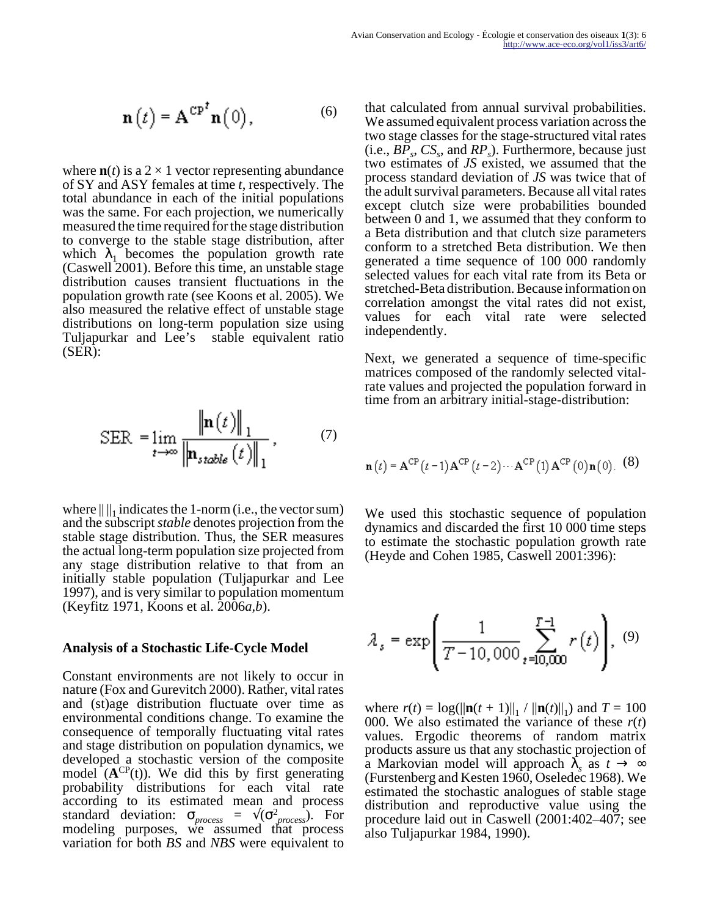$$
\mathbf{n}(t) = \mathbf{A}^{\mathbf{CP}^t} \mathbf{n}(0), \tag{6}
$$

where  $\mathbf{n}(t)$  is a 2  $\times$  1 vector representing abundance of SY and ASY females at time *t*, respectively. The total abundance in each of the initial populations was the same. For each projection, we numerically measured the time required for the stage distribution to converge to the stable stage distribution, after which  $\lambda_1$  becomes the population growth rate (Caswell 2001). Before this time, an unstable stage distribution causes transient fluctuations in the population growth rate (see Koons et al. 2005). We also measured the relative effect of unstable stage distributions on long-term population size using Tuljapurkar and Lee's stable equivalent ratio (SER):

$$
SER = \lim_{t \to \infty} \frac{\left\| \mathbf{n}(t) \right\|_{1}}{\left\| \mathbf{n}_{stable}(t) \right\|_{1}}, \quad (7)
$$

where  $\|\|_1$  indicates the 1-norm (i.e., the vector sum) and the subscript *stable* denotes projection from the stable stage distribution. Thus, the SER measures the actual long-term population size projected from any stage distribution relative to that from an initially stable population (Tuljapurkar and Lee 1997), and is very similar to population momentum (Keyfitz 1971, Koons et al. 2006*a,b*).

#### **Analysis of a Stochastic Life-Cycle Model**

Constant environments are not likely to occur in nature (Fox and Gurevitch 2000). Rather, vital rates and (st)age distribution fluctuate over time as environmental conditions change. To examine the consequence of temporally fluctuating vital rates and stage distribution on population dynamics, we developed a stochastic version of the composite model  $(A^{CP}(t))$ . We did this by first generating probability distributions for each vital rate according to its estimated mean and process standard deviation:  $\sigma_{process} = \sqrt{(\sigma_{process}^2)}$ . For modeling purposes, we assumed that process variation for both *BS* and *NBS* were equivalent to that calculated from annual survival probabilities. We assumed equivalent process variation across the two stage classes for the stage-structured vital rates  $(i.e., BP<sub>s</sub>, CS<sub>s</sub>, and RP<sub>s</sub>)$ . Furthermore, because just two estimates of *JS* existed, we assumed that the process standard deviation of *JS* was twice that of the adult survival parameters. Because all vital rates except clutch size were probabilities bounded between 0 and 1, we assumed that they conform to a Beta distribution and that clutch size parameters conform to a stretched Beta distribution. We then generated a time sequence of 100 000 randomly selected values for each vital rate from its Beta or stretched-Beta distribution. Because information on correlation amongst the vital rates did not exist, values for each vital rate were selected independently.

Next, we generated a sequence of time-specific matrices composed of the randomly selected vitalrate values and projected the population forward in time from an arbitrary initial-stage-distribution:

$$
\mathbf{n}(t) = \mathbf{A}^{\mathrm{CP}}(t-1)\mathbf{A}^{\mathrm{CP}}(t-2)\cdots\mathbf{A}^{\mathrm{CP}}(1)\mathbf{A}^{\mathrm{CP}}(0)\mathbf{n}(0).
$$
 (8)

We used this stochastic sequence of population dynamics and discarded the first 10 000 time steps to estimate the stochastic population growth rate (Heyde and Cohen 1985, Caswell 2001:396):

$$
\lambda_s = \exp\left(\frac{1}{T - 10,000} \sum_{t=10,000}^{T-1} r(t)\right),\tag{9}
$$

where  $r(t) = \log(||\mathbf{n}(t+1)||_1 / ||\mathbf{n}(t)||_1)$  and  $T = 100$ 000. We also estimated the variance of these  $r(t)$ values. Ergodic theorems of random matrix products assure us that any stochastic projection of a Markovian model will approach  $\lambda_s$  as  $t \to \infty$ (Furstenberg and Kesten 1960, Oseledec 1968). We estimated the stochastic analogues of stable stage distribution and reproductive value using the procedure laid out in Caswell (2001:402–407; see also Tuljapurkar 1984, 1990).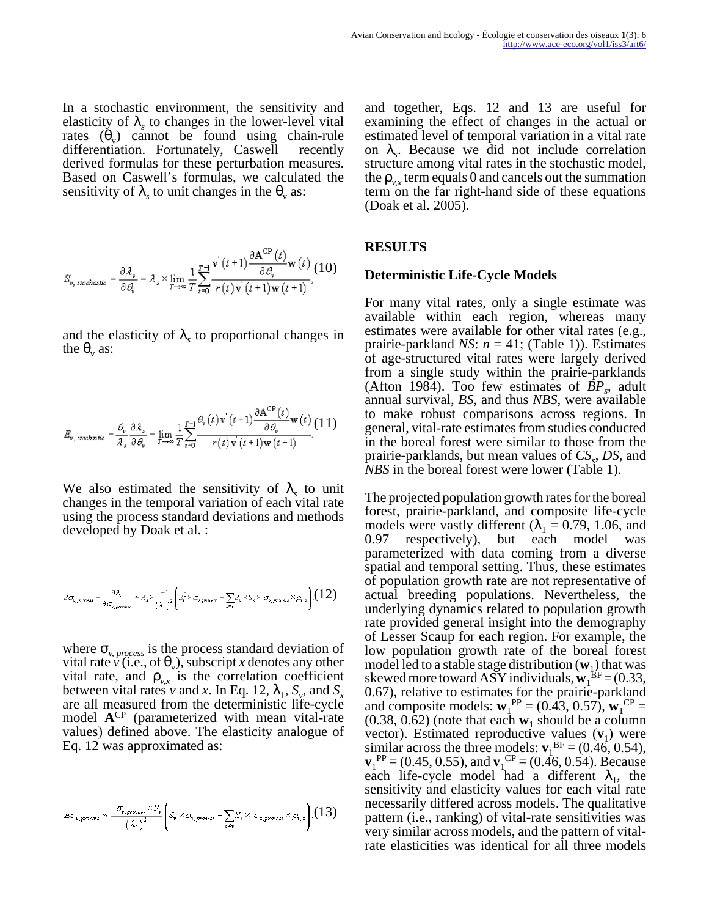In a stochastic environment, the sensitivity and elasticity of  $\lambda$ <sub>s</sub> to changes in the lower-level vital rates  $(\hat{\theta}_y)$  cannot be found using chain-rule differentiation. Fortunately, Caswell recently derived formulas for these perturbation measures. Based on Caswell's formulas, we calculated the sensitivity of  $\lambda_s$  to unit changes in the  $\theta_v$  as:

$$
S_{v,\;stochastic} = \frac{\partial \lambda_s}{\partial \theta_v} = \lambda_s \times \lim_{T \to \infty} \frac{1}{T} \sum_{t=0}^{T-1} \frac{\mathbf{v}^{\mathbf{v}}(t+1) \frac{\partial \mathbf{A}^{CP}(t)}{\partial \theta_v} \mathbf{w}(t)}{r(t) \mathbf{v}^{\mathbf{v}}(t+1) \mathbf{w}(t+1)},
$$

and the elasticity of  $\lambda$ <sub>s</sub> to proportional changes in the  $\theta_{\rm v}$  as:

$$
E_{\nu,\;stochastic} = \frac{\theta_{\nu}}{\lambda_{s}} \frac{\partial \lambda_{s}}{\partial \theta_{\nu}} = \lim_{T \to \infty} \frac{1}{T} \sum_{t=0}^{T-1} \frac{\theta_{\nu}(t) \mathbf{v}'(t+1) \frac{\partial \mathbf{A}^{CP}(t)}{\partial \theta_{\nu}} \mathbf{w}(t)}{r(t) \mathbf{v}(t+1) \mathbf{w}(t+1)} (11)
$$

We also estimated the sensitivity of  $\lambda_s$  to unit changes in the temporal variation of each vital rate using the process standard deviations and methods developed by Doak et al. :

$$
\mathcal{S}\sigma_{\nu, process} = \frac{\partial \lambda_s}{\partial \sigma_{\nu, process}} \approx \lambda_s \times \frac{-1}{\left(\lambda_1\right)^2} \Bigg( S_{\nu}^2 \times \sigma_{\nu, process} + \sum_{x \neq \nu} S_{\nu} \times S_{x} \times \sigma_{x, process} \times \rho_{\nu, x} \Bigg) . (12)
$$

where  $\sigma_{v, process}$  is the process standard deviation of vital rate  $\hat{v}$  (i.e., of  $\theta_{v}$ ), subscript *x* denotes any other vital rate, and  $\rho_{vx}$  is the correlation coefficient between vital rates *v* and *x*. In Eq. 12,  $\lambda_1$ ,  $S_v$ , and  $S_x$ are all measured from the deterministic life-cycle model **A**CP (parameterized with mean vital-rate values) defined above. The elasticity analogue of Eq. 12 was approximated as:

$$
\text{EG}_{\nu, process} \approx \frac{-\sigma_{\nu, process} \times S_{\nu}}{\left(\lambda_{1}\right)^{2}} \left(S_{\nu} \times \sigma_{\nu, process} + \sum_{x \neq \nu} S_{x} \times \sigma_{x, process} \times \rho_{\nu, x}\right), (13)
$$

and together, Eqs. 12 and 13 are useful for examining the effect of changes in the actual or estimated level of temporal variation in a vital rate on λ*<sup>s</sup>* . Because we did not include correlation structure among vital rates in the stochastic model, the  $\rho_{yx}$  term equals 0 and cancels out the summation term on the far right-hand side of these equations (Doak et al. 2005).

### **RESULTS**

### **Deterministic Life-Cycle Models**

For many vital rates, only a single estimate was available within each region, whereas many estimates were available for other vital rates (e.g., prairie-parkland *NS*: *n* = 41; (Table 1)). Estimates of age-structured vital rates were largely derived from a single study within the prairie-parklands (Afton 1984). Too few estimates of *BP<sup>s</sup>* , adult annual survival, *BS*, and thus *NBS*, were available to make robust comparisons across regions. In general, vital-rate estimates from studies conducted in the boreal forest were similar to those from the prairie-parklands, but mean values of *CS<sup>s</sup>* , *DS*, and *NBS* in the boreal forest were lower (Table 1).

The projected population growth rates for the boreal forest, prairie-parkland, and composite life-cycle models were vastly different ( $\lambda_1 = 0.79$ , 1.06, and 0.97 respectively), but each model was parameterized with data coming from a diverse spatial and temporal setting. Thus, these estimates of population growth rate are not representative of actual breeding populations. Nevertheless, the underlying dynamics related to population growth rate provided general insight into the demography of Lesser Scaup for each region. For example, the low population growth rate of the boreal forest model led to a stable stage distribution  $(\mathbf{w}_1)$  that was skewed more toward ASY individuals,  $\mathbf{w}_1^{\text{BF}} = (0.33, 0.15)$ 0.67), relative to estimates for the prairie-parkland and composite models:  $w_1^{\text{PP}} = (0.43, 0.57)$ ,  $w_1^{\text{CP}} =$  $(0.38, 0.62)$  (note that each  $\mathbf{w}_1$  should be a column vector). Estimated reproductive values  $(v_1)$  were similar across the three models:  $v_1^{\text{BF}} = (0.46, 0.54)$ ,  $v_1^{\text{PP}} = (0.45, 0.55)$ , and  $v_1^{\text{CP}} = (0.46, 0.54)$ . Because each life-cycle model had a different  $\lambda_1$ , the sensitivity and elasticity values for each vital rate necessarily differed across models. The qualitative pattern (i.e., ranking) of vital-rate sensitivities was very similar across models, and the pattern of vitalrate elasticities was identical for all three models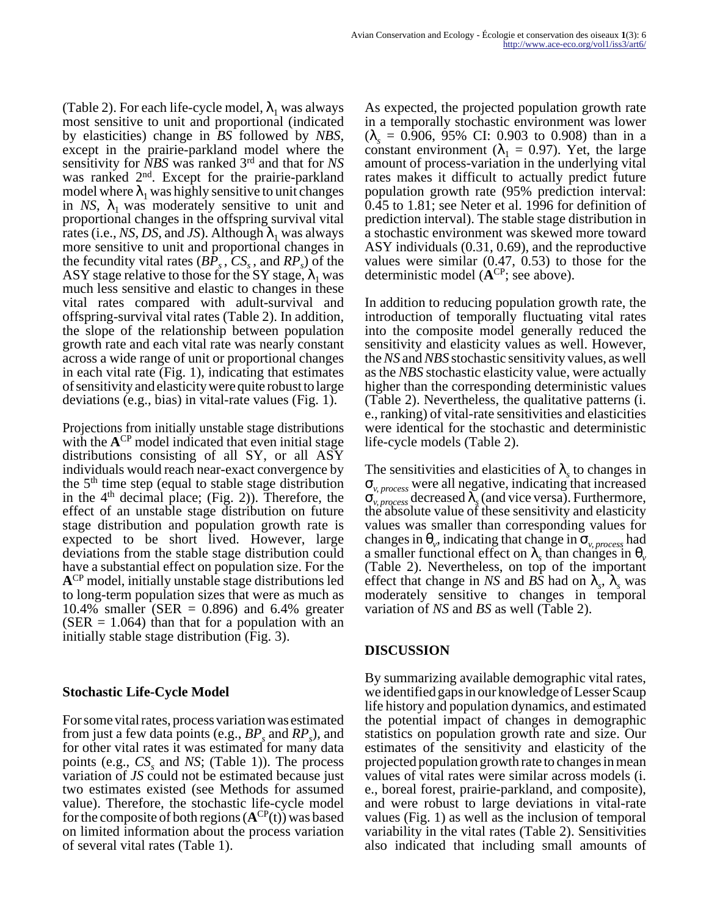(Table 2). For each life-cycle model,  $\lambda_1$  was always most sensitive to unit and proportional (indicated by elasticities) change in *BS* followed by *NBS*, except in the prairie-parkland model where the sensitivity for *NBS* was ranked 3rd and that for *NS* was ranked 2<sup>nd</sup>. Except for the prairie-parkland model where  $\lambda_1$  was highly sensitive to unit changes in  $NS$ ,  $\lambda_1$  was moderately sensitive to unit and proportional changes in the offspring survival vital rates (i.e., *NS*, *DS*, and *JS*). Although  $\lambda_1$  was always more sensitive to unit and proportional changes in the fecundity vital rates  $(BP_s, CS_s, \text{ and } RP_s)$  of the ASY stage relative to those for the SY stage,  $\lambda_1$  was much less sensitive and elastic to changes in these vital rates compared with adult-survival and offspring-survival vital rates (Table 2). In addition, the slope of the relationship between population growth rate and each vital rate was nearly constant across a wide range of unit or proportional changes in each vital rate (Fig. 1), indicating that estimates of sensitivity and elasticity were quite robust to large deviations (e.g., bias) in vital-rate values (Fig. 1).

Projections from initially unstable stage distributions with the  $A^{CP}$  model indicated that even initial stage distributions consisting of all SY, or all ASY individuals would reach near-exact convergence by the 5<sup>th</sup> time step (equal to stable stage distribution in the  $4<sup>th</sup>$  decimal place; (Fig. 2)). Therefore, the effect of an unstable stage distribution on future stage distribution and population growth rate is expected to be short lived. However, large deviations from the stable stage distribution could have a substantial effect on population size. For the **A**CP model, initially unstable stage distributions led to long-term population sizes that were as much as 10.4% smaller (SER =  $0.896$ ) and 6.4% greater  $(SER = 1.064)$  than that for a population with an initially stable stage distribution (Fig. 3).

### **Stochastic Life-Cycle Model**

For some vital rates, process variation was estimated from just a few data points (e.g., *BP<sup>s</sup>* and *RP<sup>s</sup>* ), and for other vital rates it was estimated for many data points (e.g., *CS<sup>s</sup>* and *NS*; (Table 1)). The process variation of *JS* could not be estimated because just two estimates existed (see Methods for assumed value). Therefore, the stochastic life-cycle model for the composite of both regions  $(A^{CP}(t))$  was based on limited information about the process variation of several vital rates (Table 1).

As expected, the projected population growth rate in a temporally stochastic environment was lower  $(\lambda_s = 0.906, 95\% \text{ CI: } 0.903 \text{ to } 0.908) \text{ than in a}$ constant environment ( $\lambda_1 = 0.97$ ). Yet, the large amount of process-variation in the underlying vital rates makes it difficult to actually predict future population growth rate (95% prediction interval: 0.45 to 1.81; see Neter et al. 1996 for definition of prediction interval). The stable stage distribution in a stochastic environment was skewed more toward ASY individuals (0.31, 0.69), and the reproductive values were similar (0.47, 0.53) to those for the deterministic model (**A**CP; see above).

In addition to reducing population growth rate, the introduction of temporally fluctuating vital rates into the composite model generally reduced the sensitivity and elasticity values as well. However, the *NS* and *NBS* stochastic sensitivity values, as well as the *NBS* stochastic elasticity value, were actually higher than the corresponding deterministic values (Table 2). Nevertheless, the qualitative patterns (i. e., ranking) of vital-rate sensitivities and elasticities were identical for the stochastic and deterministic life-cycle models (Table 2).

The sensitivities and elasticities of  $\lambda$ <sub>s</sub> to changes in σ*v, process* were all negative, indicating that increased  $\sigma_{v, process}^{\prime}$  decreased  $\lambda_{s}$  (and vice versa). Furthermore, the absolute value of these sensitivity and elasticity values was smaller than corresponding values for changes in θ*<sup>v</sup>* , indicating that change in σ*v, process* had a smaller functional effect on  $\lambda_s$  than changes in  $\theta_v$ (Table 2). Nevertheless, on top of the important effect that change in *NS* and *BS* had on  $\lambda_s$ ,  $\lambda_s$  was moderately sensitive to changes in temporal variation of *NS* and *BS* as well (Table 2).

# **DISCUSSION**

By summarizing available demographic vital rates, we identified gaps in our knowledge of Lesser Scaup life history and population dynamics, and estimated the potential impact of changes in demographic statistics on population growth rate and size. Our estimates of the sensitivity and elasticity of the projected population growth rate to changes in mean values of vital rates were similar across models (i. e., boreal forest, prairie-parkland, and composite), and were robust to large deviations in vital-rate values (Fig. 1) as well as the inclusion of temporal variability in the vital rates (Table 2). Sensitivities also indicated that including small amounts of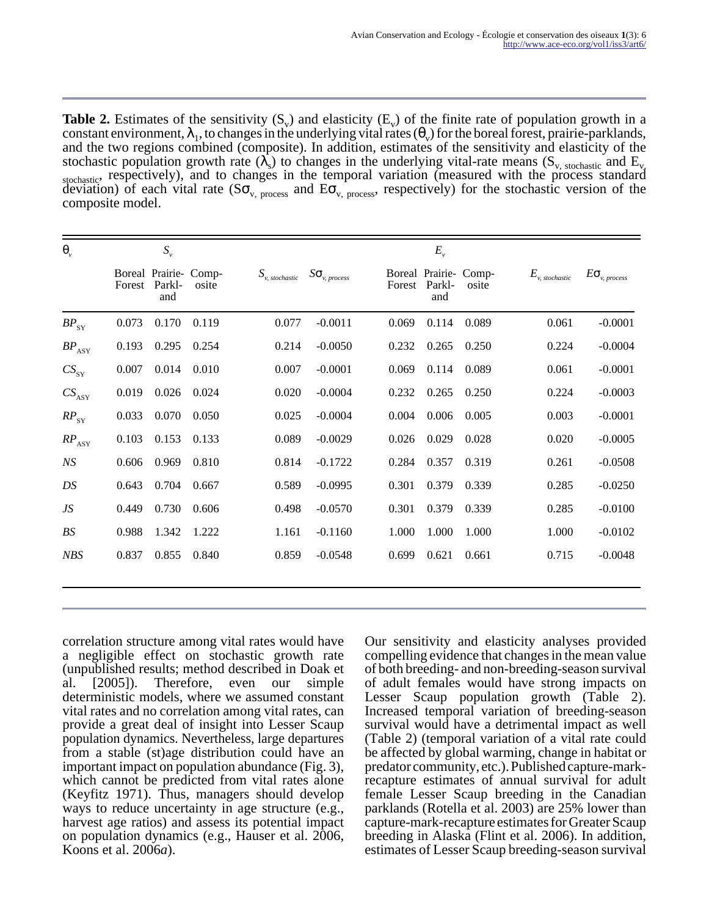| <b>Table 2.</b> Estimates of the sensitivity $(S_v)$ and elasticity $(E_v)$ of the finite rate of population growth in a                            |
|-----------------------------------------------------------------------------------------------------------------------------------------------------|
| constant environment, $\lambda_1$ , to changes in the underlying vital rates $(\theta_v)$ for the boreal forest, prairie-parklands,                 |
| and the two regions combined (composite). In addition, estimates of the sensitivity and elasticity of the                                           |
| stochastic population growth rate ( $\lambda_c$ ) to changes in the underlying vital-rate means (S <sub>v. stochastic</sub> and E <sub>v.</sub>     |
| stochastic, respectively), and to changes in the temporal variation (measured with the process standard                                             |
| deviation) of each vital rate ( $S\sigma_{v, \text{ process}}$ and $E\sigma_{v, \text{ process}}$ , respectively) for the stochastic version of the |
| composite model.                                                                                                                                    |

| $\theta_{\nu}$               |        | $S_{v}$                          |                |                     | $E_{v}$                       |        |                                  |                |                     |                               |
|------------------------------|--------|----------------------------------|----------------|---------------------|-------------------------------|--------|----------------------------------|----------------|---------------------|-------------------------------|
|                              | Forest | Boreal Prairie-<br>Parkl-<br>and | Comp-<br>osite | $S_{v, stochastic}$ | $S\sigma_{_{\nu,\, process}}$ | Forest | Boreal Prairie-<br>Parkl-<br>and | Comp-<br>osite | $E_{v, stochastic}$ | $E\sigma_{_{\nu,\, process}}$ |
| $BP_{SY}$                    | 0.073  | 0.170                            | 0.119          | 0.077               | $-0.0011$                     | 0.069  | 0.114                            | 0.089          | 0.061               | $-0.0001$                     |
| $BP_{\rm ASY}$               | 0.193  | 0.295                            | 0.254          | 0.214               | $-0.0050$                     | 0.232  | 0.265                            | 0.250          | 0.224               | $-0.0004$                     |
| $CS_{SY}$                    | 0.007  | 0.014                            | 0.010          | 0.007               | $-0.0001$                     | 0.069  | 0.114                            | 0.089          | 0.061               | $-0.0001$                     |
| $CS$ <sub>ASY</sub>          | 0.019  | 0.026                            | 0.024          | 0.020               | $-0.0004$                     | 0.232  | 0.265                            | 0.250          | 0.224               | $-0.0003$                     |
| $RP_{SY}$                    | 0.033  | 0.070                            | 0.050          | 0.025               | $-0.0004$                     | 0.004  | 0.006                            | 0.005          | 0.003               | $-0.0001$                     |
| $\mathit{RP}_{\mathrm{ASY}}$ | 0.103  | 0.153                            | 0.133          | 0.089               | $-0.0029$                     | 0.026  | 0.029                            | 0.028          | 0.020               | $-0.0005$                     |
| NS                           | 0.606  | 0.969                            | 0.810          | 0.814               | $-0.1722$                     | 0.284  | 0.357                            | 0.319          | 0.261               | $-0.0508$                     |
| DS                           | 0.643  | 0.704                            | 0.667          | 0.589               | $-0.0995$                     | 0.301  | 0.379                            | 0.339          | 0.285               | $-0.0250$                     |
| JS                           | 0.449  | 0.730                            | 0.606          | 0.498               | $-0.0570$                     | 0.301  | 0.379                            | 0.339          | 0.285               | $-0.0100$                     |
| <b>BS</b>                    | 0.988  | 1.342                            | 1.222          | 1.161               | $-0.1160$                     | 1.000  | 1.000                            | 1.000          | 1.000               | $-0.0102$                     |
| <b>NBS</b>                   | 0.837  | 0.855                            | 0.840          | 0.859               | $-0.0548$                     | 0.699  | 0.621                            | 0.661          | 0.715               | $-0.0048$                     |
|                              |        |                                  |                |                     |                               |        |                                  |                |                     |                               |

correlation structure among vital rates would have a negligible effect on stochastic growth rate (unpublished results; method described in Doak et al. [2005]). Therefore, even our simple deterministic models, where we assumed constant vital rates and no correlation among vital rates, can provide a great deal of insight into Lesser Scaup population dynamics. Nevertheless, large departures from a stable (st)age distribution could have an important impact on population abundance (Fig. 3), which cannot be predicted from vital rates alone (Keyfitz 1971). Thus, managers should develop ways to reduce uncertainty in age structure (e.g., harvest age ratios) and assess its potential impact on population dynamics (e.g., Hauser et al. 2006, Koons et al. 2006*a*).

Our sensitivity and elasticity analyses provided compelling evidence that changes in the mean value of both breeding- and non-breeding-season survival of adult females would have strong impacts on Lesser Scaup population growth (Table 2). Increased temporal variation of breeding-season survival would have a detrimental impact as well (Table 2) (temporal variation of a vital rate could be affected by global warming, change in habitat or predator community, etc.). Published capture-markrecapture estimates of annual survival for adult female Lesser Scaup breeding in the Canadian parklands (Rotella et al. 2003) are 25% lower than capture-mark-recapture estimates for Greater Scaup breeding in Alaska (Flint et al. 2006). In addition, estimates of Lesser Scaup breeding-season survival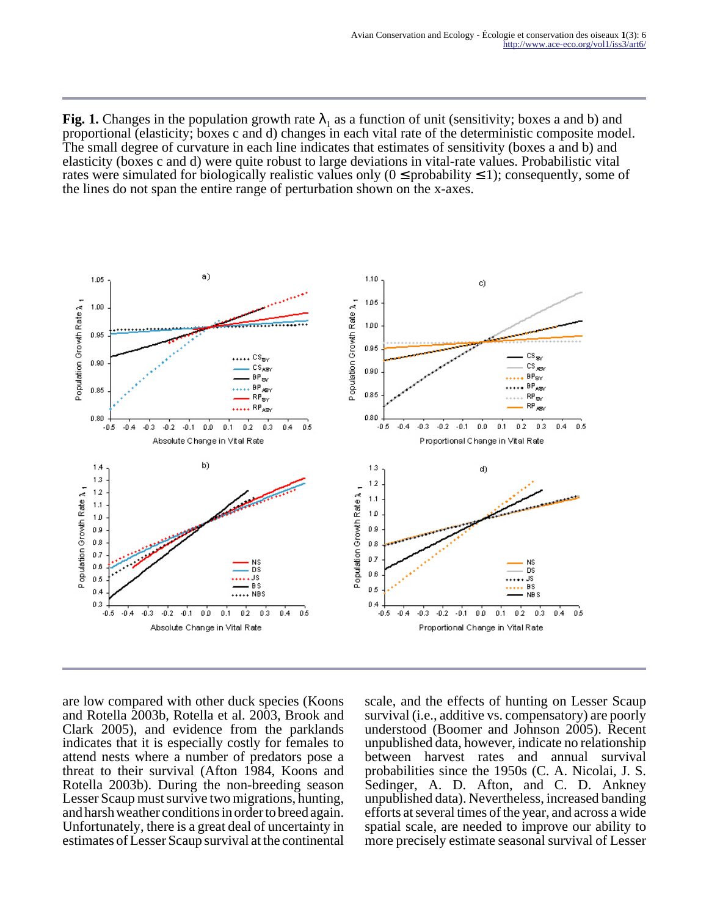Fig. 1. Changes in the population growth rate  $\lambda_1$  as a function of unit (sensitivity; boxes a and b) and proportional (elasticity; boxes c and d) changes in each vital rate of the deterministic composite model. The small degree of curvature in each line indicates that estimates of sensitivity (boxes a and b) and elasticity (boxes c and d) were quite robust to large deviations in vital-rate values. Probabilistic vital rates were simulated for biologically realistic values only  $(0 \leq$  probability  $\leq 1)$ ; consequently, some of the lines do not span the entire range of perturbation shown on the x-axes.



are low compared with other duck species (Koons and Rotella 2003b, Rotella et al. 2003, Brook and Clark 2005), and evidence from the parklands indicates that it is especially costly for females to attend nests where a number of predators pose a threat to their survival (Afton 1984, Koons and Rotella 2003b). During the non-breeding season Lesser Scaup must survive two migrations, hunting, and harsh weather conditions in order to breed again. Unfortunately, there is a great deal of uncertainty in estimates of Lesser Scaup survival at the continental

scale, and the effects of hunting on Lesser Scaup survival (i.e., additive vs. compensatory) are poorly understood (Boomer and Johnson 2005). Recent unpublished data, however, indicate no relationship between harvest rates and annual survival probabilities since the 1950s (C. A. Nicolai, J. S. Sedinger, A. D. Afton, and C. D. Ankney unpublished data). Nevertheless, increased banding efforts at several times of the year, and across a wide spatial scale, are needed to improve our ability to more precisely estimate seasonal survival of Lesser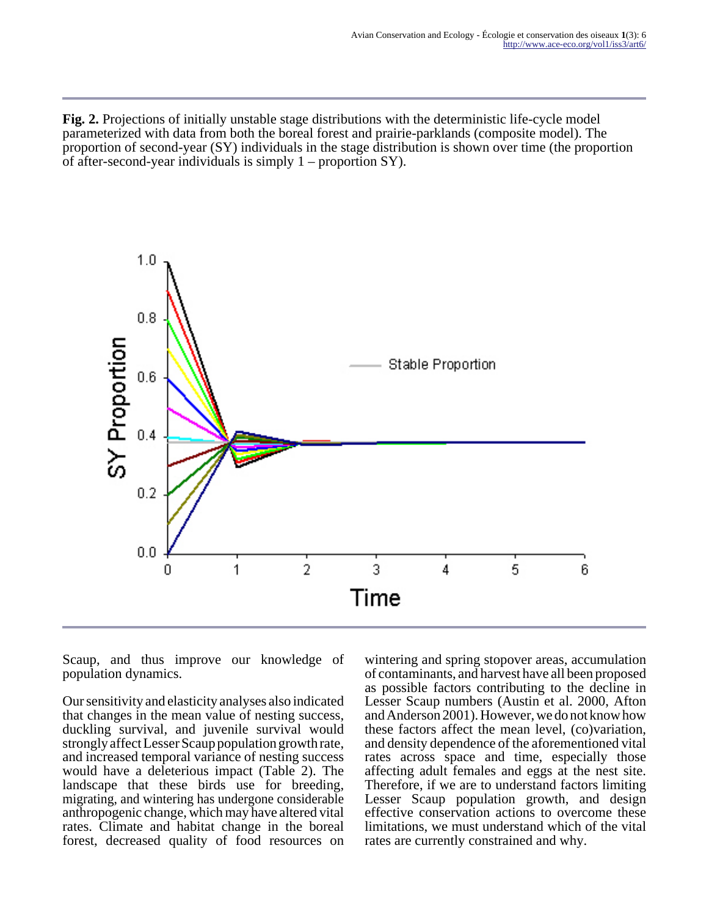**Fig. 2.** Projections of initially unstable stage distributions with the deterministic life-cycle model parameterized with data from both the boreal forest and prairie-parklands (composite model). The proportion of second-year (SY) individuals in the stage distribution is shown over time (the proportion of after-second-year individuals is simply 1 – proportion SY).



Scaup, and thus improve our knowledge of population dynamics.

Our sensitivity and elasticity analyses also indicated that changes in the mean value of nesting success, duckling survival, and juvenile survival would strongly affect Lesser Scaup population growth rate, and increased temporal variance of nesting success would have a deleterious impact (Table 2). The landscape that these birds use for breeding, migrating, and wintering has undergone considerable anthropogenic change, which may have altered vital rates. Climate and habitat change in the boreal forest, decreased quality of food resources on

wintering and spring stopover areas, accumulation of contaminants, and harvest have all been proposed as possible factors contributing to the decline in Lesser Scaup numbers (Austin et al. 2000, Afton and Anderson 2001). However, we do not know how these factors affect the mean level, (co)variation, and density dependence of the aforementioned vital rates across space and time, especially those affecting adult females and eggs at the nest site. Therefore, if we are to understand factors limiting Lesser Scaup population growth, and design effective conservation actions to overcome these limitations, we must understand which of the vital rates are currently constrained and why.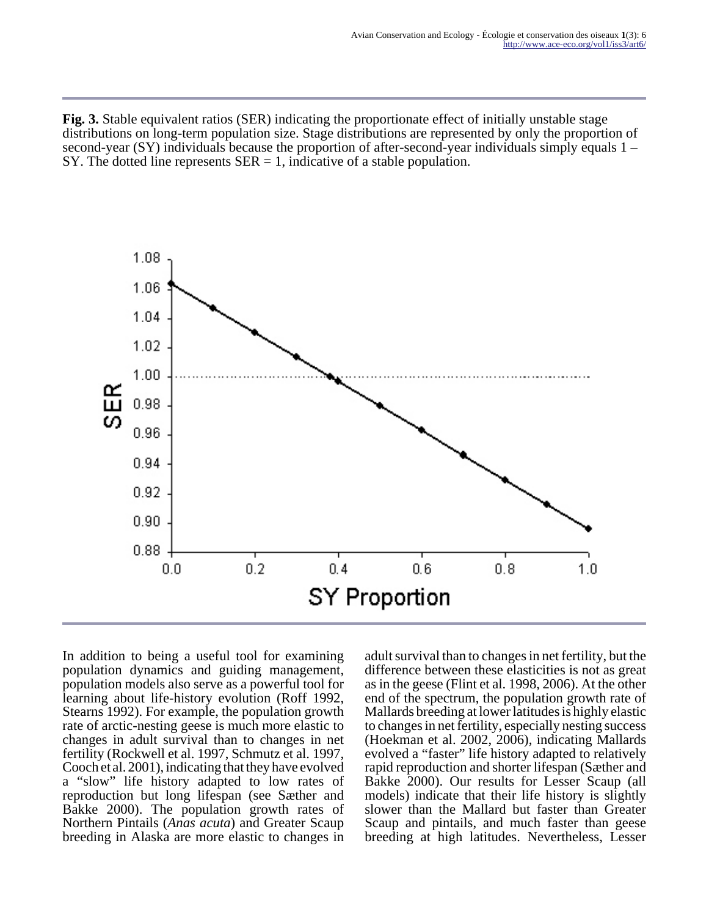**Fig. 3.** Stable equivalent ratios (SER) indicating the proportionate effect of initially unstable stage distributions on long-term population size. Stage distributions are represented by only the proportion of second-year (SY) individuals because the proportion of after-second-year individuals simply equals  $1 -$ SY. The dotted line represents  $SER = 1$ , indicative of a stable population.



In addition to being a useful tool for examining population dynamics and guiding management, population models also serve as a powerful tool for learning about life-history evolution (Roff 1992, Stearns 1992). For example, the population growth rate of arctic-nesting geese is much more elastic to changes in adult survival than to changes in net fertility (Rockwell et al. 1997, Schmutz et al. 1997, Cooch et al. 2001), indicating that they have evolved a "slow" life history adapted to low rates of reproduction but long lifespan (see Sæther and Bakke 2000). The population growth rates of Northern Pintails (*Anas acuta*) and Greater Scaup breeding in Alaska are more elastic to changes in

adult survival than to changes in net fertility, but the difference between these elasticities is not as great as in the geese (Flint et al. 1998, 2006). At the other end of the spectrum, the population growth rate of Mallards breeding at lower latitudes is highly elastic to changes in net fertility, especially nesting success (Hoekman et al. 2002, 2006), indicating Mallards evolved a "faster" life history adapted to relatively rapid reproduction and shorter lifespan (Sæther and Bakke 2000). Our results for Lesser Scaup (all models) indicate that their life history is slightly slower than the Mallard but faster than Greater Scaup and pintails, and much faster than geese breeding at high latitudes. Nevertheless, Lesser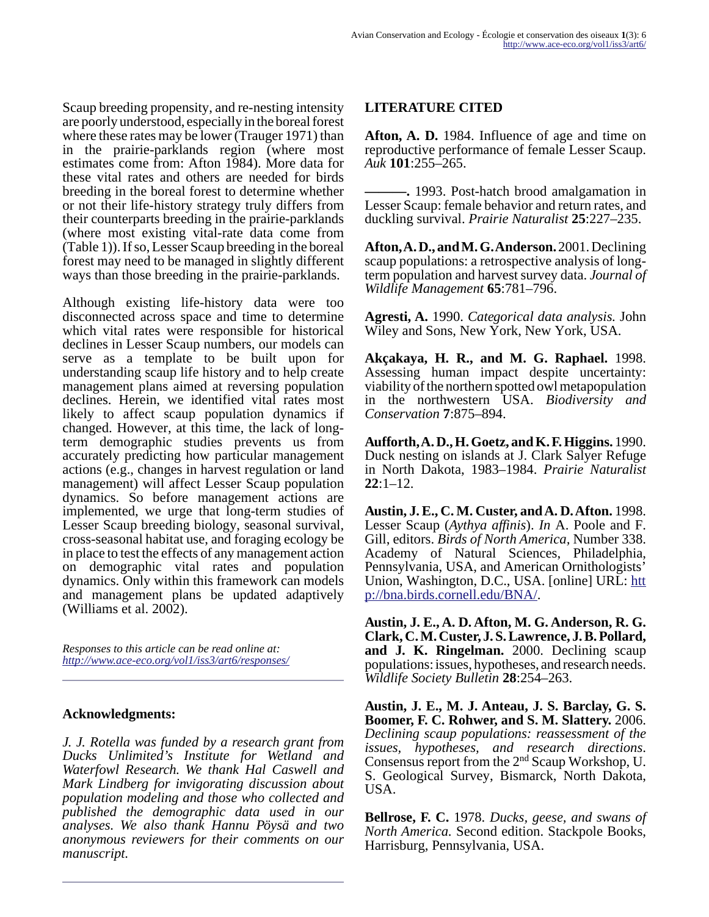Scaup breeding propensity, and re-nesting intensity are poorly understood, especially in the boreal forest where these rates may be lower (Trauger 1971) than in the prairie-parklands region (where most estimates come from: Afton 1984). More data for these vital rates and others are needed for birds breeding in the boreal forest to determine whether or not their life-history strategy truly differs from their counterparts breeding in the prairie-parklands (where most existing vital-rate data come from (Table 1)). If so, Lesser Scaup breeding in the boreal forest may need to be managed in slightly different ways than those breeding in the prairie-parklands.

Although existing life-history data were too disconnected across space and time to determine which vital rates were responsible for historical declines in Lesser Scaup numbers, our models can serve as a template to be built upon for understanding scaup life history and to help create management plans aimed at reversing population declines. Herein, we identified vital rates most likely to affect scaup population dynamics if changed. However, at this time, the lack of longterm demographic studies prevents us from accurately predicting how particular management actions (e.g., changes in harvest regulation or land management) will affect Lesser Scaup population dynamics. So before management actions are implemented, we urge that long-term studies of Lesser Scaup breeding biology, seasonal survival, cross-seasonal habitat use, and foraging ecology be in place to test the effects of any management action on demographic vital rates and population dynamics. Only within this framework can models and management plans be updated adaptively (Williams et al. 2002).

*Responses to this article can be read online at: <http://www.ace-eco.org/vol1/iss3/art6/responses/>*

### **Acknowledgments:**

*J. J. Rotella was funded by a research grant from Ducks Unlimited's Institute for Wetland and Waterfowl Research. We thank Hal Caswell and Mark Lindberg for invigorating discussion about population modeling and those who collected and published the demographic data used in our analyses. We also thank Hannu Pöysä and two anonymous reviewers for their comments on our manuscript.*

### **LITERATURE CITED**

**Afton, A. D.** 1984. Influence of age and time on reproductive performance of female Lesser Scaup. *Auk* **101**:255–265.

**———.** 1993. Post-hatch brood amalgamation in Lesser Scaup: female behavior and return rates, and duckling survival. *Prairie Naturalist* **25**:227–235.

**Afton, A. D., and M. G. Anderson.** 2001. Declining scaup populations: a retrospective analysis of longterm population and harvest survey data. *Journal of Wildlife Management* **65**:781–796.

**Agresti, A.** 1990. *Categorical data analysis.* John Wiley and Sons, New York, New York, USA.

**Akçakaya, H. R., and M. G. Raphael.** 1998. Assessing human impact despite uncertainty: viability of the northern spotted owl metapopulation in the northwestern USA. *Biodiversity and Conservation* **7**:875–894.

**Aufforth, A. D., H. Goetz, and K. F. Higgins.** 1990. Duck nesting on islands at J. Clark Salyer Refuge in North Dakota, 1983–1984. *Prairie Naturalist* **22**:1–12.

**Austin, J. E., C. M. Custer, and A. D. Afton.** 1998. Lesser Scaup (*Aythya affinis*). *In* A. Poole and F. Gill, editors. *Birds of North America,* Number 338. Academy of Natural Sciences, Philadelphia, Pennsylvania, USA, and American Ornithologists' Union, Washington, D.C., USA. [online] URL: [htt](http://bna.birds.cornell.edu/BNA/) [p://bna.birds.cornell.edu/BNA/.](http://bna.birds.cornell.edu/BNA/)

**Austin, J. E., A. D. Afton, M. G. Anderson, R. G. Clark, C. M. Custer, J. S. Lawrence, J. B. Pollard, and J. K. Ringelman.** 2000. Declining scaup populations: issues, hypotheses, and research needs. *Wildlife Society Bulletin* **28**:254–263.

**Austin, J. E., M. J. Anteau, J. S. Barclay, G. S. Boomer, F. C. Rohwer, and S. M. Slattery.** 2006. *Declining scaup populations: reassessment of the issues, hypotheses, and research directions*. Consensus report from the 2nd Scaup Workshop, U. S. Geological Survey, Bismarck, North Dakota, USA.

**Bellrose, F. C.** 1978. *Ducks, geese, and swans of North America.* Second edition. Stackpole Books, Harrisburg, Pennsylvania, USA.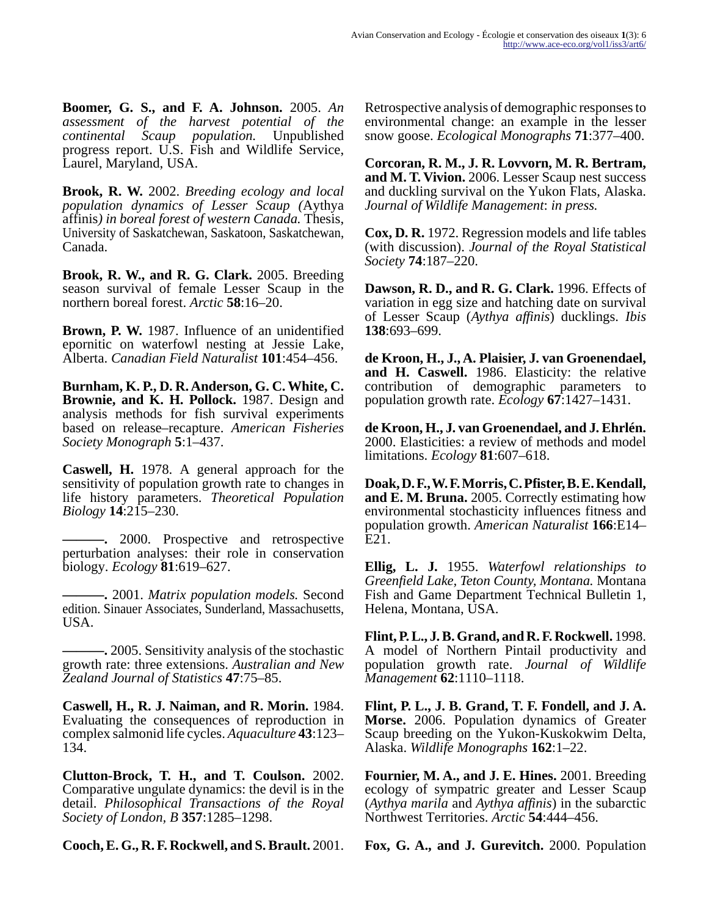**Boomer, G. S., and F. A. Johnson.** 2005. *An assessment of the harvest potential of the continental Scaup population.* Unpublished progress report. U.S. Fish and Wildlife Service, Laurel, Maryland, USA.

**Brook, R. W.** 2002. *Breeding ecology and local population dynamics of Lesser Scaup (*Aythya affinis*) in boreal forest of western Canada.* Thesis, University of Saskatchewan, Saskatoon, Saskatchewan, Canada.

**Brook, R. W., and R. G. Clark.** 2005. Breeding season survival of female Lesser Scaup in the northern boreal forest. *Arctic* **58**:16–20.

**Brown, P. W.** 1987. Influence of an unidentified epornitic on waterfowl nesting at Jessie Lake, Alberta. *Canadian Field Naturalist* **101**:454–456.

**Burnham, K. P., D. R. Anderson, G. C. White, C. Brownie, and K. H. Pollock.** 1987. Design and analysis methods for fish survival experiments based on release–recapture. *American Fisheries Society Monograph* **5**:1–437.

**Caswell, H.** 1978. A general approach for the sensitivity of population growth rate to changes in life history parameters. *Theoretical Population Biology* **14**:215–230.

**———.** 2000. Prospective and retrospective perturbation analyses: their role in conservation biology. *Ecology* **81**:619–627.

**———.** 2001. *Matrix population models.* Second edition. Sinauer Associates, Sunderland, Massachusetts, USA.

**———.** 2005. Sensitivity analysis of the stochastic growth rate: three extensions. *Australian and New Zealand Journal of Statistics* **47**:75–85.

**Caswell, H., R. J. Naiman, and R. Morin.** 1984. Evaluating the consequences of reproduction in complex salmonid life cycles. *Aquaculture* **43**:123– 134.

**Clutton-Brock, T. H., and T. Coulson.** 2002. Comparative ungulate dynamics: the devil is in the detail. *Philosophical Transactions of the Royal Society of London, B* **357**:1285–1298.

**Cooch, E. G., R. F. Rockwell, and S. Brault.** 2001.

Retrospective analysis of demographic responses to environmental change: an example in the lesser snow goose. *Ecological Monographs* **71**:377–400.

**Corcoran, R. M., J. R. Lovvorn, M. R. Bertram, and M. T. Vivion.** 2006. Lesser Scaup nest success and duckling survival on the Yukon Flats, Alaska. *Journal of Wildlife Management*: *in press.*

**Cox, D. R.** 1972. Regression models and life tables (with discussion). *Journal of the Royal Statistical Society* **74**:187–220.

**Dawson, R. D., and R. G. Clark.** 1996. Effects of variation in egg size and hatching date on survival of Lesser Scaup (*Aythya affinis*) ducklings. *Ibis* **138**:693–699.

**de Kroon, H., J., A. Plaisier, J. van Groenendael, and H. Caswell.** 1986. Elasticity: the relative contribution of demographic parameters to population growth rate. *Ecology* **67**:1427–1431.

**de Kroon, H., J. van Groenendael, and J. Ehrlén.** 2000. Elasticities: a review of methods and model limitations. *Ecology* **81**:607–618.

**Doak, D. F., W. F. Morris, C. Pfister, B. E. Kendall, and E. M. Bruna.** 2005. Correctly estimating how environmental stochasticity influences fitness and population growth. *American Naturalist* **166**:E14– E21.

**Ellig, L. J.** 1955. *Waterfowl relationships to Greenfield Lake, Teton County, Montana.* Montana Fish and Game Department Technical Bulletin 1, Helena, Montana, USA.

**Flint, P. L., J. B. Grand, and R. F. Rockwell.** 1998. A model of Northern Pintail productivity and population growth rate. *Journal of Wildlife Management* **62**:1110–1118.

**Flint, P. L., J. B. Grand, T. F. Fondell, and J. A. Morse.** 2006. Population dynamics of Greater Scaup breeding on the Yukon-Kuskokwim Delta, Alaska. *Wildlife Monographs* **162**:1–22.

**Fournier, M. A., and J. E. Hines.** 2001. Breeding ecology of sympatric greater and Lesser Scaup (*Aythya marila* and *Aythya affinis*) in the subarctic Northwest Territories. *Arctic* **54**:444–456.

**Fox, G. A., and J. Gurevitch.** 2000. Population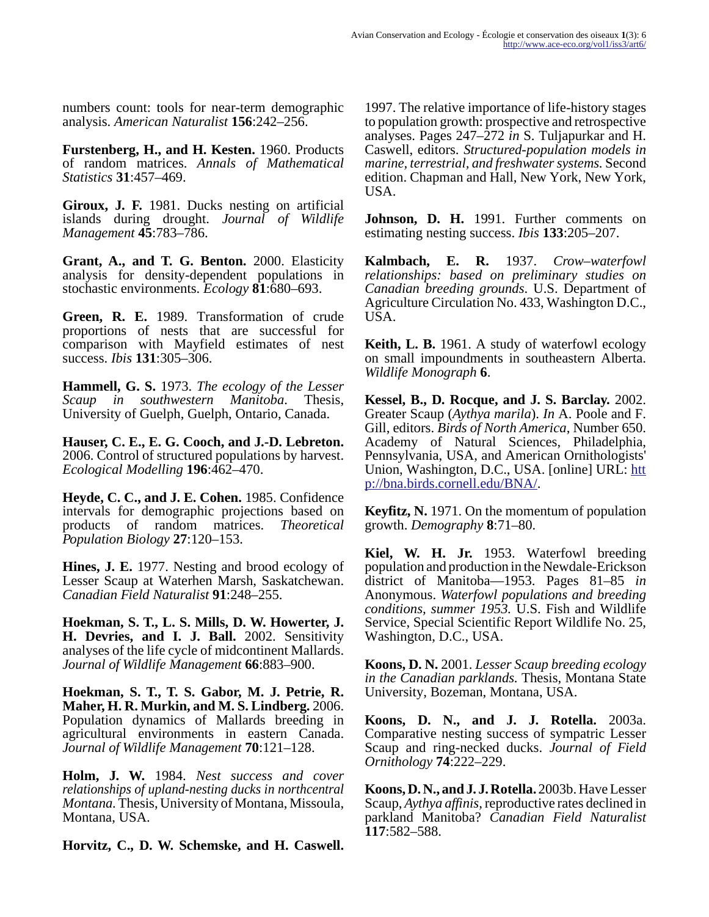numbers count: tools for near-term demographic analysis. *American Naturalist* **156**:242–256.

**Furstenberg, H., and H. Kesten.** 1960. Products of random matrices. *Annals of Mathematical Statistics* **31**:457–469.

**Giroux, J. F.** 1981. Ducks nesting on artificial islands during drought. *Journal of Wildlife Management* **45**:783–786.

**Grant, A., and T. G. Benton.** 2000. Elasticity analysis for density-dependent populations in stochastic environments. *Ecology* **81**:680–693.

**Green, R. E.** 1989. Transformation of crude proportions of nests that are successful for comparison with Mayfield estimates of nest success. *Ibis* **131**:305–306.

**Hammell, G. S.** 1973. *The ecology of the Lesser Scaup in southwestern Manitoba*. Thesis, University of Guelph, Guelph, Ontario, Canada.

**Hauser, C. E., E. G. Cooch, and J.-D. Lebreton.** 2006. Control of structured populations by harvest. *Ecological Modelling* **196**:462–470.

**Heyde, C. C., and J. E. Cohen.** 1985. Confidence intervals for demographic projections based on products of random matrices. *Theoretical Population Biology* **27**:120–153.

**Hines, J. E.** 1977. Nesting and brood ecology of Lesser Scaup at Waterhen Marsh, Saskatchewan. *Canadian Field Naturalist* **91**:248–255.

**Hoekman, S. T., L. S. Mills, D. W. Howerter, J. H. Devries, and I. J. Ball.** 2002. Sensitivity analyses of the life cycle of midcontinent Mallards. *Journal of Wildlife Management* **66**:883–900.

**Hoekman, S. T., T. S. Gabor, M. J. Petrie, R. Maher, H. R. Murkin, and M. S. Lindberg.** 2006. Population dynamics of Mallards breeding in agricultural environments in eastern Canada. *Journal of Wildlife Management* **70**:121–128.

**Holm, J. W.** 1984. *Nest success and cover relationships of upland-nesting ducks in northcentral Montana.* Thesis, University of Montana, Missoula, Montana, USA.

**Horvitz, C., D. W. Schemske, and H. Caswell.**

1997. The relative importance of life-history stages to population growth: prospective and retrospective analyses. Pages 247–272 *in* S. Tuljapurkar and H. Caswell, editors. *Structured-population models in marine, terrestrial, and freshwater systems.* Second edition. Chapman and Hall, New York, New York, USA.

Johnson, D. H. 1991. Further comments on estimating nesting success. *Ibis* **133**:205–207.

**Kalmbach, E. R.** 1937. *Crow–waterfowl relationships: based on preliminary studies on Canadian breeding grounds*. U.S. Department of Agriculture Circulation No. 433, Washington D.C., USA.

**Keith, L. B.** 1961. A study of waterfowl ecology on small impoundments in southeastern Alberta. *Wildlife Monograph* **6**.

**Kessel, B., D. Rocque, and J. S. Barclay.** 2002. Greater Scaup (*Aythya marila*). *In* A. Poole and F. Gill, editors. *Birds of North America*, Number 650. Academy of Natural Sciences, Philadelphia, Pennsylvania, USA, and American Ornithologists' Union, Washington, D.C., USA. [online] URL: [htt](http://bna.birds.cornell.edu/BNA/) [p://bna.birds.cornell.edu/BNA/.](http://bna.birds.cornell.edu/BNA/)

**Keyfitz, N.** 1971. On the momentum of population growth. *Demography* **8**:71–80.

**Kiel, W. H. Jr.** 1953. Waterfowl breeding population and production in the Newdale-Erickson district of Manitoba—1953. Pages 81–85 *in* Anonymous. *Waterfowl populations and breeding conditions, summer 1953.* U.S. Fish and Wildlife Service, Special Scientific Report Wildlife No. 25, Washington, D.C., USA.

**Koons, D. N.** 2001. *Lesser Scaup breeding ecology in the Canadian parklands.* Thesis, Montana State University, Bozeman, Montana, USA.

**Koons, D. N., and J. J. Rotella.** 2003a. Comparative nesting success of sympatric Lesser Scaup and ring-necked ducks. *Journal of Field Ornithology* **74**:222–229.

**Koons, D. N., and J. J. Rotella.** 2003b. Have Lesser Scaup, *Aythya affinis,* reproductive rates declined in parkland Manitoba? *Canadian Field Naturalist* **117**:582–588.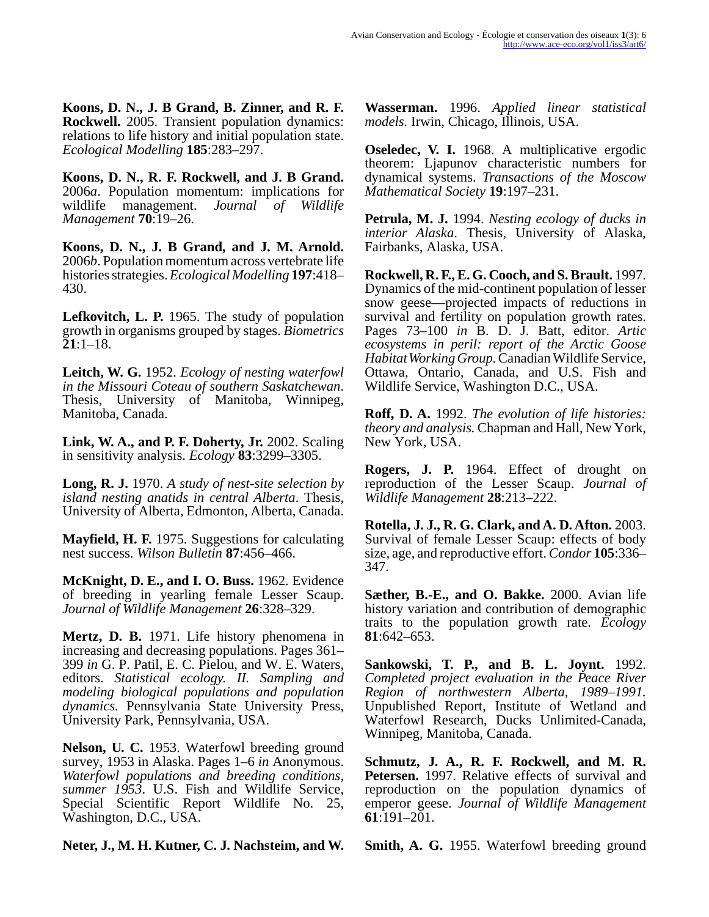**Koons, D. N., J. B Grand, B. Zinner, and R. F. Rockwell.** 2005. Transient population dynamics: relations to life history and initial population state. *Ecological Modelling* **185**:283–297.

**Koons, D. N., R. F. Rockwell, and J. B Grand.** 2006*a*. Population momentum: implications for wildlife management. *Journal of Wildlife Management* **70**:19–26.

**Koons, D. N., J. B Grand, and J. M. Arnold.** 2006*b*. Population momentum across vertebrate life histories strategies. *Ecological Modelling* **197**:418– 430.

**Lefkovitch, L. P.** 1965. The study of population growth in organisms grouped by stages. *Biometrics* **21**:1–18.

**Leitch, W. G.** 1952. *Ecology of nesting waterfowl in the Missouri Coteau of southern Saskatchewan*. Thesis, University of Manitoba, Winnipeg, Manitoba, Canada.

**Link, W. A., and P. F. Doherty, Jr.** 2002. Scaling in sensitivity analysis. *Ecology* **83**:3299–3305.

**Long, R. J.** 1970. *A study of nest-site selection by island nesting anatids in central Alberta*. Thesis, University of Alberta, Edmonton, Alberta, Canada.

**Mayfield, H. F.** 1975. Suggestions for calculating nest success. *Wilson Bulletin* **87**:456–466.

**McKnight, D. E., and I. O. Buss.** 1962. Evidence of breeding in yearling female Lesser Scaup. *Journal of Wildlife Management* **26**:328–329.

**Mertz, D. B.** 1971. Life history phenomena in increasing and decreasing populations. Pages 361– 399 *in* G. P. Patil, E. C. Pielou, and W. E. Waters, editors. *Statistical ecology. II. Sampling and modeling biological populations and population dynamics.* Pennsylvania State University Press, University Park, Pennsylvania, USA.

**Nelson, U. C.** 1953. Waterfowl breeding ground survey, 1953 in Alaska. Pages 1–6 *in* Anonymous. *Waterfowl populations and breeding conditions, summer 1953*. U.S. Fish and Wildlife Service, Special Scientific Report Wildlife No. 25, Washington, D.C., USA.

**Neter, J., M. H. Kutner, C. J. Nachsteim, and W.**

**Wasserman.** 1996. *Applied linear statistical models.* Irwin, Chicago, Illinois, USA.

**Oseledec, V. I.** 1968. A multiplicative ergodic theorem: Ljapunov characteristic numbers for dynamical systems. *Transactions of the Moscow Mathematical Society* **19**:197–231.

**Petrula, M. J.** 1994. *Nesting ecology of ducks in interior Alaska*. Thesis, University of Alaska, Fairbanks, Alaska, USA.

**Rockwell, R. F., E. G. Cooch, and S. Brault.** 1997. Dynamics of the mid-continent population of lesser snow geese—projected impacts of reductions in survival and fertility on population growth rates. Pages 73–100 *in* B. D. J. Batt, editor. *Artic ecosystems in peril: report of the Arctic Goose Habitat Working Group.* Canadian Wildlife Service, Ottawa, Ontario, Canada, and U.S. Fish and Wildlife Service, Washington D.C., USA.

**Roff, D. A.** 1992. *The evolution of life histories: theory and analysis.* Chapman and Hall, New York, New York, USA.

**Rogers, J. P.** 1964. Effect of drought on reproduction of the Lesser Scaup. *Journal of Wildlife Management* **28**:213–222.

**Rotella, J. J., R. G. Clark, and A. D. Afton.** 2003. Survival of female Lesser Scaup: effects of body size, age, and reproductive effort. *Condor* **105**:336– 347.

**Sæther, B.-E., and O. Bakke.** 2000. Avian life history variation and contribution of demographic traits to the population growth rate. *Ecology* **81**:642–653.

**Sankowski, T. P., and B. L. Joynt.** 1992. *Completed project evaluation in the Peace River Region of northwestern Alberta, 1989–1991.* Unpublished Report, Institute of Wetland and Waterfowl Research, Ducks Unlimited-Canada, Winnipeg, Manitoba, Canada.

**Schmutz, J. A., R. F. Rockwell, and M. R. Petersen.** 1997. Relative effects of survival and reproduction on the population dynamics of emperor geese. *Journal of Wildlife Management* **61**:191–201.

**Smith, A. G.** 1955. Waterfowl breeding ground